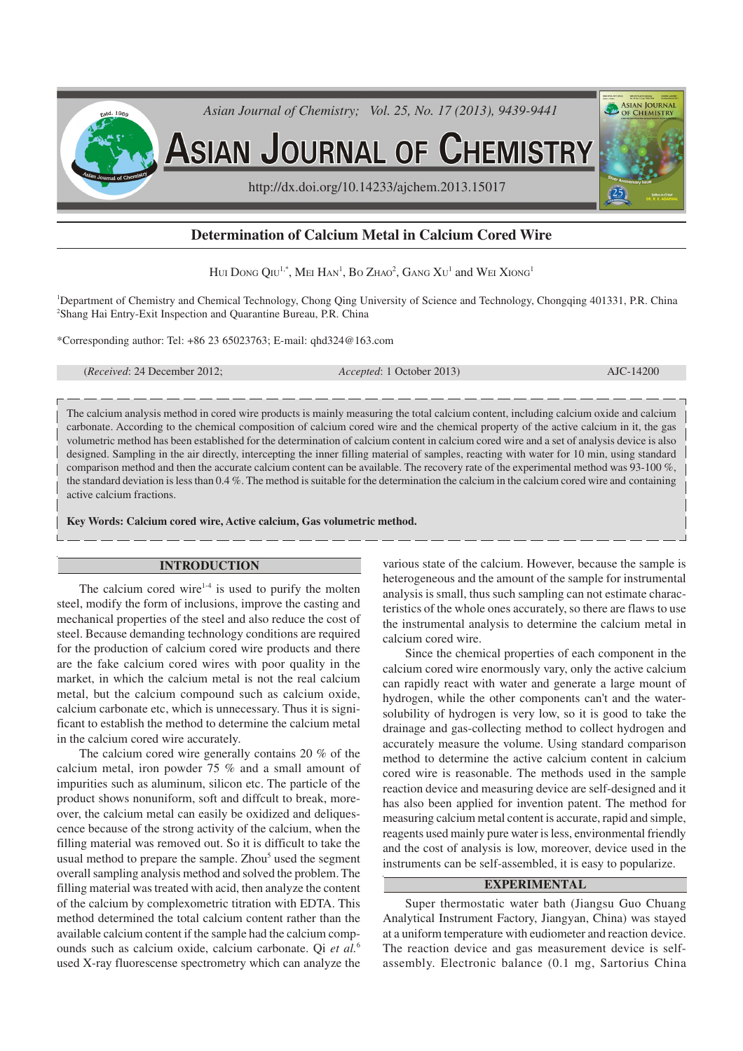

# **Determination of Calcium Metal in Calcium Cored Wire**

Hui Dong Qiu<sup>1,\*</sup>, Mei Han<sup>1</sup>, Bo Zhao<sup>2</sup>, Gang Xu<sup>1</sup> and Wei Xiong<sup>1</sup>

<sup>1</sup>Department of Chemistry and Chemical Technology, Chong Qing University of Science and Technology, Chongqing 401331, P.R. China <sup>2</sup>Shang Hai Entry-Exit Inspection and Quarantine Bureau, P.R. China

\*Corresponding author: Tel: +86 23 65023763; E-mail: qhd324@163.com

(*Received*: 24 December 2012; *Accepted*: 1 October 2013) AJC-14200

The calcium analysis method in cored wire products is mainly measuring the total calcium content, including calcium oxide and calcium carbonate. According to the chemical composition of calcium cored wire and the chemical property of the active calcium in it, the gas volumetric method has been established for the determination of calcium content in calcium cored wire and a set of analysis device is also designed. Sampling in the air directly, intercepting the inner filling material of samples, reacting with water for 10 min, using standard comparison method and then the accurate calcium content can be available. The recovery rate of the experimental method was 93-100 %, the standard deviation is less than 0.4 %. The method is suitable for the determination the calcium in the calcium cored wire and containing active calcium fractions.

**Key Words: Calcium cored wire, Active calcium, Gas volumetric method.**

## **INTRODUCTION**

The calcium cored wire $1-4$  is used to purify the molten steel, modify the form of inclusions, improve the casting and mechanical properties of the steel and also reduce the cost of steel. Because demanding technology conditions are required for the production of calcium cored wire products and there are the fake calcium cored wires with poor quality in the market, in which the calcium metal is not the real calcium metal, but the calcium compound such as calcium oxide, calcium carbonate etc, which is unnecessary. Thus it is significant to establish the method to determine the calcium metal in the calcium cored wire accurately.

The calcium cored wire generally contains 20 % of the calcium metal, iron powder 75 % and a small amount of impurities such as aluminum, silicon etc. The particle of the product shows nonuniform, soft and diffcult to break, moreover, the calcium metal can easily be oxidized and deliquescence because of the strong activity of the calcium, when the filling material was removed out. So it is difficult to take the usual method to prepare the sample. Zhou<sup>5</sup> used the segment overall sampling analysis method and solved the problem. The filling material was treated with acid, then analyze the content of the calcium by complexometric titration with EDTA. This method determined the total calcium content rather than the available calcium content if the sample had the calcium compounds such as calcium oxide, calcium carbonate. Qi *et al.*<sup>6</sup> used X-ray fluorescense spectrometry which can analyze the

various state of the calcium. However, because the sample is heterogeneous and the amount of the sample for instrumental analysis is small, thus such sampling can not estimate characteristics of the whole ones accurately, so there are flaws to use the instrumental analysis to determine the calcium metal in calcium cored wire.

Since the chemical properties of each component in the calcium cored wire enormously vary, only the active calcium can rapidly react with water and generate a large mount of hydrogen, while the other components can't and the watersolubility of hydrogen is very low, so it is good to take the drainage and gas-collecting method to collect hydrogen and accurately measure the volume. Using standard comparison method to determine the active calcium content in calcium cored wire is reasonable. The methods used in the sample reaction device and measuring device are self-designed and it has also been applied for invention patent. The method for measuring calcium metal content is accurate, rapid and simple, reagents used mainly pure water is less, environmental friendly and the cost of analysis is low, moreover, device used in the instruments can be self-assembled, it is easy to popularize.

## **EXPERIMENTAL**

Super thermostatic water bath (Jiangsu Guo Chuang Analytical Instrument Factory, Jiangyan, China) was stayed at a uniform temperature with eudiometer and reaction device. The reaction device and gas measurement device is selfassembly. Electronic balance (0.1 mg, Sartorius China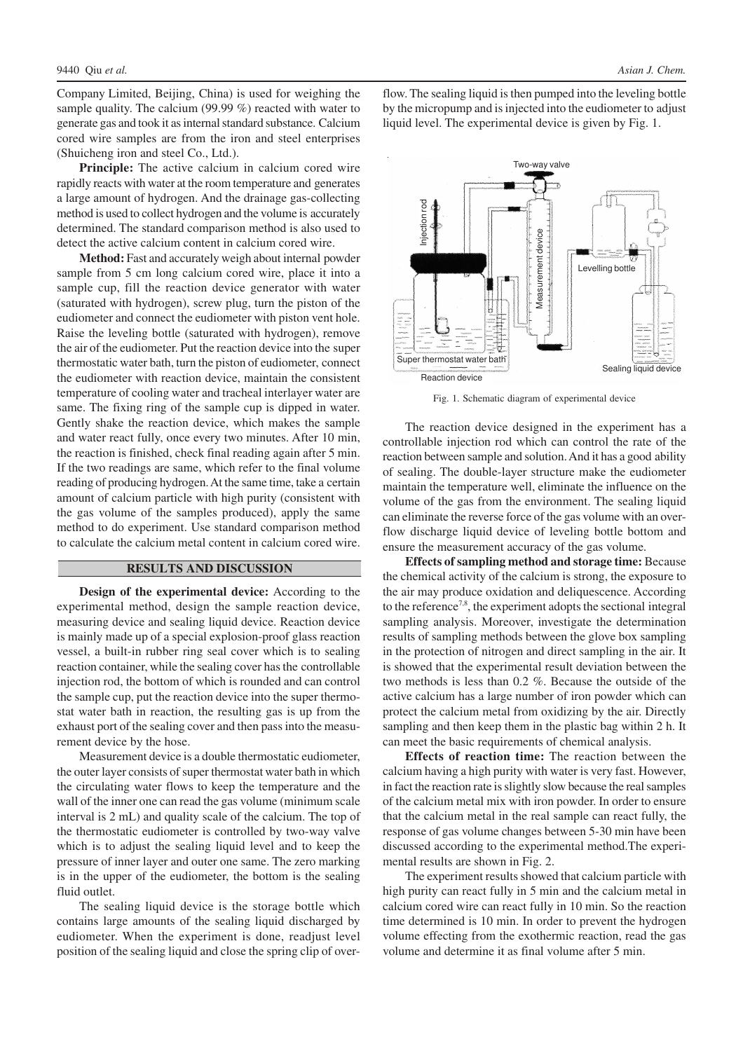Company Limited, Beijing, China) is used for weighing the sample quality. The calcium (99.99 %) reacted with water to generate gas and took it as internal standard substance. Calcium cored wire samples are from the iron and steel enterprises (Shuicheng iron and steel Co., Ltd.).

**Principle:** The active calcium in calcium cored wire rapidly reacts with water at the room temperature and generates a large amount of hydrogen. And the drainage gas-collecting method is used to collect hydrogen and the volume is accurately determined. The standard comparison method is also used to detect the active calcium content in calcium cored wire.

**Method:** Fast and accurately weigh about internal powder sample from 5 cm long calcium cored wire, place it into a sample cup, fill the reaction device generator with water (saturated with hydrogen), screw plug, turn the piston of the eudiometer and connect the eudiometer with piston vent hole. Raise the leveling bottle (saturated with hydrogen), remove the air of the eudiometer. Put the reaction device into the super thermostatic water bath, turn the piston of eudiometer, connect the eudiometer with reaction device, maintain the consistent temperature of cooling water and tracheal interlayer water are same. The fixing ring of the sample cup is dipped in water. Gently shake the reaction device, which makes the sample and water react fully, once every two minutes. After 10 min, the reaction is finished, check final reading again after 5 min. If the two readings are same, which refer to the final volume reading of producing hydrogen. At the same time, take a certain amount of calcium particle with high purity (consistent with the gas volume of the samples produced), apply the same method to do experiment. Use standard comparison method to calculate the calcium metal content in calcium cored wire.

### **RESULTS AND DISCUSSION**

**Design of the experimental device:** According to the experimental method, design the sample reaction device, measuring device and sealing liquid device. Reaction device is mainly made up of a special explosion-proof glass reaction vessel, a built-in rubber ring seal cover which is to sealing reaction container, while the sealing cover has the controllable injection rod, the bottom of which is rounded and can control the sample cup, put the reaction device into the super thermostat water bath in reaction, the resulting gas is up from the exhaust port of the sealing cover and then pass into the measurement device by the hose.

Measurement device is a double thermostatic eudiometer, the outer layer consists of super thermostat water bath in which the circulating water flows to keep the temperature and the wall of the inner one can read the gas volume (minimum scale interval is 2 mL) and quality scale of the calcium. The top of the thermostatic eudiometer is controlled by two-way valve which is to adjust the sealing liquid level and to keep the pressure of inner layer and outer one same. The zero marking is in the upper of the eudiometer, the bottom is the sealing fluid outlet.

The sealing liquid device is the storage bottle which contains large amounts of the sealing liquid discharged by eudiometer. When the experiment is done, readjust level position of the sealing liquid and close the spring clip of over-

flow. The sealing liquid is then pumped into the leveling bottle by the micropump and is injected into the eudiometer to adjust liquid level. The experimental device is given by Fig. 1.



Fig. 1. Schematic diagram of experimental device

The reaction device designed in the experiment has a controllable injection rod which can control the rate of the reaction between sample and solution. And it has a good ability of sealing. The double-layer structure make the eudiometer maintain the temperature well, eliminate the influence on the volume of the gas from the environment. The sealing liquid can eliminate the reverse force of the gas volume with an overflow discharge liquid device of leveling bottle bottom and ensure the measurement accuracy of the gas volume.

**Effects of sampling method and storage time:** Because the chemical activity of the calcium is strong, the exposure to the air may produce oxidation and deliquescence. According to the reference<sup>7,8</sup>, the experiment adopts the sectional integral sampling analysis. Moreover, investigate the determination results of sampling methods between the glove box sampling in the protection of nitrogen and direct sampling in the air. It is showed that the experimental result deviation between the two methods is less than 0.2 %. Because the outside of the active calcium has a large number of iron powder which can protect the calcium metal from oxidizing by the air. Directly sampling and then keep them in the plastic bag within 2 h. It can meet the basic requirements of chemical analysis.

**Effects of reaction time:** The reaction between the calcium having a high purity with water is very fast. However, in fact the reaction rate is slightly slow because the real samples of the calcium metal mix with iron powder. In order to ensure that the calcium metal in the real sample can react fully, the response of gas volume changes between 5-30 min have been discussed according to the experimental method.The experimental results are shown in Fig. 2.

The experiment results showed that calcium particle with high purity can react fully in 5 min and the calcium metal in calcium cored wire can react fully in 10 min. So the reaction time determined is 10 min. In order to prevent the hydrogen volume effecting from the exothermic reaction, read the gas volume and determine it as final volume after 5 min.